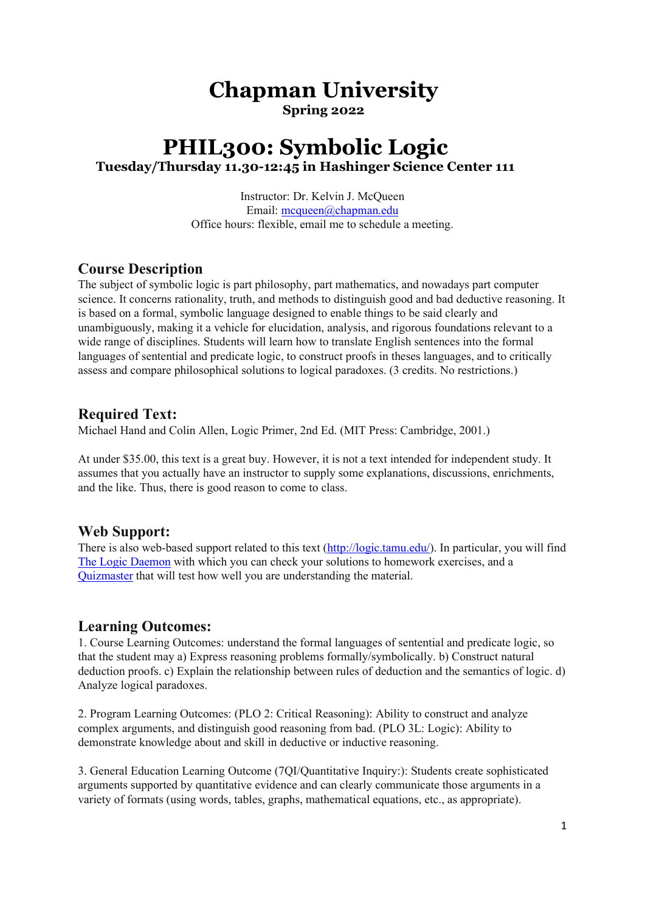# **Chapman University**

**Spring 2022**

## **PHIL300: Symbolic Logic Tuesday/Thursday 11.30-12:45 in Hashinger Science Center 111**

Instructor: Dr. Kelvin J. McQueen Email: mcqueen@chapman.edu Office hours: flexible, email me to schedule a meeting.

## **Course Description**

The subject of symbolic logic is part philosophy, part mathematics, and nowadays part computer science. It concerns rationality, truth, and methods to distinguish good and bad deductive reasoning. It is based on a formal, symbolic language designed to enable things to be said clearly and unambiguously, making it a vehicle for elucidation, analysis, and rigorous foundations relevant to a wide range of disciplines. Students will learn how to translate English sentences into the formal languages of sentential and predicate logic, to construct proofs in theses languages, and to critically assess and compare philosophical solutions to logical paradoxes. (3 credits. No restrictions.)

## **Required Text:**

Michael Hand and Colin Allen, Logic Primer, 2nd Ed. (MIT Press: Cambridge, 2001.)

At under \$35.00, this text is a great buy. However, it is not a text intended for independent study. It assumes that you actually have an instructor to supply some explanations, discussions, enrichments, and the like. Thus, there is good reason to come to class.

### **Web Support:**

There is also web-based support related to this text [\(http://logic.tamu.edu/\)](http://logic.tamu.edu/). In particular, you will find [The Logic Daemon](http://logic.tamu.edu/daemon.html) with which you can check your solutions to homework exercises, and a [Quizmaster](https://logic.tamu.edu/cgi/quizmaster) that will test how well you are understanding the material.

### **Learning Outcomes:**

1. Course Learning Outcomes: understand the formal languages of sentential and predicate logic, so that the student may a) Express reasoning problems formally/symbolically. b) Construct natural deduction proofs. c) Explain the relationship between rules of deduction and the semantics of logic. d) Analyze logical paradoxes.

2. Program Learning Outcomes: (PLO 2: Critical Reasoning): Ability to construct and analyze complex arguments, and distinguish good reasoning from bad. (PLO 3L: Logic): Ability to demonstrate knowledge about and skill in deductive or inductive reasoning.

3. General Education Learning Outcome (7QI/Quantitative Inquiry:): Students create sophisticated arguments supported by quantitative evidence and can clearly communicate those arguments in a variety of formats (using words, tables, graphs, mathematical equations, etc., as appropriate).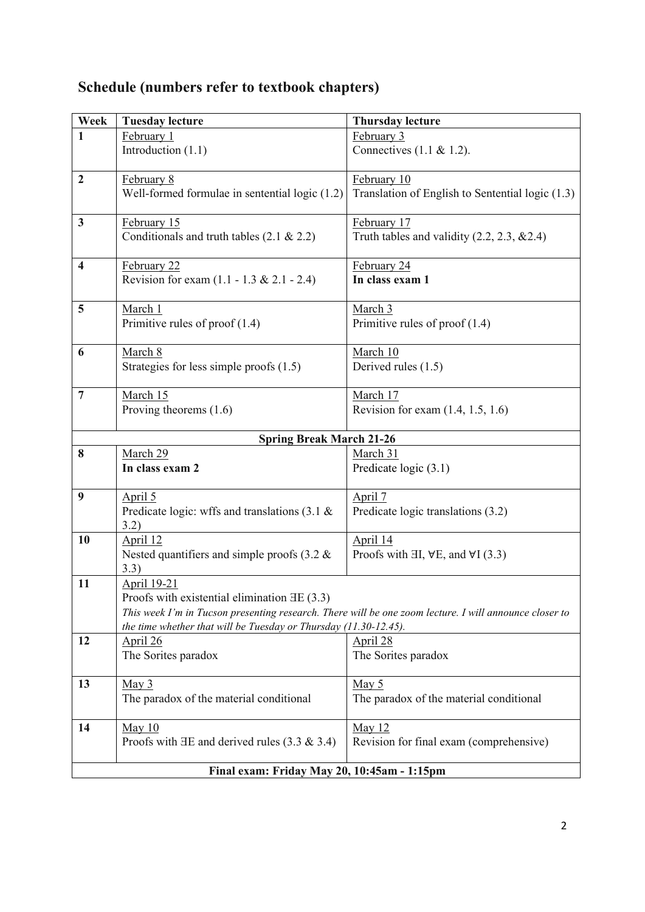## **Schedule (numbers refer to textbook chapters)**

| Week                                        | <b>Tuesday lecture</b>                                                                                 | <b>Thursday lecture</b>                                   |  |  |  |  |  |  |  |
|---------------------------------------------|--------------------------------------------------------------------------------------------------------|-----------------------------------------------------------|--|--|--|--|--|--|--|
| $\mathbf{1}$                                | February 1                                                                                             | February 3                                                |  |  |  |  |  |  |  |
|                                             | Introduction (1.1)                                                                                     | Connectives $(1.1 \& 1.2)$ .                              |  |  |  |  |  |  |  |
|                                             |                                                                                                        |                                                           |  |  |  |  |  |  |  |
| $\boldsymbol{2}$                            | February 8                                                                                             | February 10                                               |  |  |  |  |  |  |  |
|                                             | Well-formed formulae in sentential logic (1.2)                                                         | Translation of English to Sentential logic (1.3)          |  |  |  |  |  |  |  |
|                                             |                                                                                                        |                                                           |  |  |  |  |  |  |  |
| 3                                           | February 15                                                                                            | February 17                                               |  |  |  |  |  |  |  |
|                                             | Conditionals and truth tables $(2.1 \& 2.2)$                                                           | Truth tables and validity $(2.2, 2.3, \& 2.4)$            |  |  |  |  |  |  |  |
|                                             |                                                                                                        |                                                           |  |  |  |  |  |  |  |
| $\overline{\mathbf{4}}$                     | February 22                                                                                            | February 24                                               |  |  |  |  |  |  |  |
|                                             | Revision for exam (1.1 - 1.3 & 2.1 - 2.4)                                                              | In class exam 1                                           |  |  |  |  |  |  |  |
| 5                                           | March 1                                                                                                | March 3                                                   |  |  |  |  |  |  |  |
|                                             | Primitive rules of proof $(1.4)$                                                                       | Primitive rules of proof $(1.4)$                          |  |  |  |  |  |  |  |
|                                             |                                                                                                        |                                                           |  |  |  |  |  |  |  |
| 6                                           | March 8                                                                                                | March 10                                                  |  |  |  |  |  |  |  |
|                                             | Strategies for less simple proofs (1.5)                                                                | Derived rules (1.5)                                       |  |  |  |  |  |  |  |
|                                             |                                                                                                        |                                                           |  |  |  |  |  |  |  |
| $\overline{7}$                              | March 15                                                                                               | March 17                                                  |  |  |  |  |  |  |  |
|                                             | Proving theorems $(1.6)$                                                                               | Revision for exam $(1.4, 1.5, 1.6)$                       |  |  |  |  |  |  |  |
|                                             |                                                                                                        |                                                           |  |  |  |  |  |  |  |
|                                             | <b>Spring Break March 21-26</b>                                                                        |                                                           |  |  |  |  |  |  |  |
| 8                                           | March 29                                                                                               | March 31                                                  |  |  |  |  |  |  |  |
|                                             | In class exam 2                                                                                        | Predicate logic (3.1)                                     |  |  |  |  |  |  |  |
|                                             |                                                                                                        |                                                           |  |  |  |  |  |  |  |
| 9                                           | April 5                                                                                                | April 7                                                   |  |  |  |  |  |  |  |
|                                             | Predicate logic: wffs and translations $(3.1 \&$<br>3.2)                                               | Predicate logic translations (3.2)                        |  |  |  |  |  |  |  |
| 10                                          | April 12                                                                                               | April 14                                                  |  |  |  |  |  |  |  |
|                                             | Nested quantifiers and simple proofs $(3.2 \&$                                                         | Proofs with $\exists I, \forall E,$ and $\forall I (3.3)$ |  |  |  |  |  |  |  |
|                                             | 3.3)                                                                                                   |                                                           |  |  |  |  |  |  |  |
| 11                                          | April 19-21                                                                                            |                                                           |  |  |  |  |  |  |  |
|                                             | Proofs with existential elimination HE (3.3)                                                           |                                                           |  |  |  |  |  |  |  |
|                                             | This week I'm in Tucson presenting research. There will be one zoom lecture. I will announce closer to |                                                           |  |  |  |  |  |  |  |
|                                             | the time whether that will be Tuesday or Thursday $(11.30-12.45)$ .                                    |                                                           |  |  |  |  |  |  |  |
| 12                                          | April 26                                                                                               | April 28                                                  |  |  |  |  |  |  |  |
|                                             | The Sorites paradox                                                                                    | The Sorites paradox                                       |  |  |  |  |  |  |  |
|                                             |                                                                                                        |                                                           |  |  |  |  |  |  |  |
| 13                                          | May 3                                                                                                  | May 5                                                     |  |  |  |  |  |  |  |
|                                             | The paradox of the material conditional                                                                | The paradox of the material conditional                   |  |  |  |  |  |  |  |
|                                             |                                                                                                        |                                                           |  |  |  |  |  |  |  |
| 14                                          | May $10$                                                                                               | May $12$                                                  |  |  |  |  |  |  |  |
|                                             | Proofs with $AE$ and derived rules (3.3 & 3.4)                                                         | Revision for final exam (comprehensive)                   |  |  |  |  |  |  |  |
|                                             |                                                                                                        |                                                           |  |  |  |  |  |  |  |
| Final exam: Friday May 20, 10:45am - 1:15pm |                                                                                                        |                                                           |  |  |  |  |  |  |  |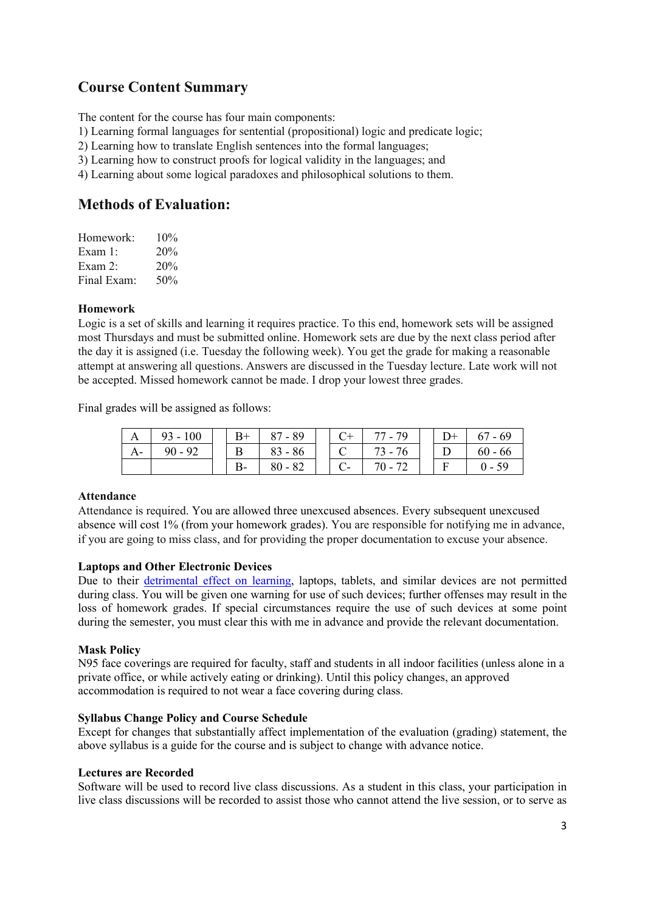## **Course Content Summary**

The content for the course has four main components:

- 1) Learning formal languages for sentential (propositional) logic and predicate logic;
- 2) Learning how to translate English sentences into the formal languages;
- 3) Learning how to construct proofs for logical validity in the languages; and
- 4) Learning about some logical paradoxes and philosophical solutions to them.

## **Methods of Evaluation:**

| Homework:   | 10% |
|-------------|-----|
| Exam $1:$   | 20% |
| Exam $2$ :  | 20% |
| Final Exam: | 50% |

#### **Homework**

Logic is a set of skills and learning it requires practice. To this end, homework sets will be assigned most Thursdays and must be submitted online. Homework sets are due by the next class period after the day it is assigned (i.e. Tuesday the following week). You get the grade for making a reasonable attempt at answering all questions. Answers are discussed in the Tuesday lecture. Late work will not be accepted. Missed homework cannot be made. I drop your lowest three grades.

Final grades will be assigned as follows:

| $\vert$ 93 - 100 | $B^+$ | $87 - 89$ |  | $C+$ 77 - 79  |  | 67 - 69   |
|------------------|-------|-----------|--|---------------|--|-----------|
| $90 - 92$        |       | $83 - 86$ |  | C   $73 - 76$ |  | $60 - 66$ |
|                  | $B -$ | $80 - 82$ |  | $C-$ 70 - 72  |  | $0 - 59$  |

#### **Attendance**

Attendance is required. You are allowed three unexcused absences. Every subsequent unexcused absence will cost 1% (from your homework grades). You are responsible for notifying me in advance, if you are going to miss class, and for providing the proper documentation to excuse your absence.

#### **Laptops and Other Electronic Devices**

Due to their [detrimental effect on learning,](http://www.sciencedirect.com/science/article/pii/S0360131512002254) laptops, tablets, and similar devices are not permitted during class. You will be given one warning for use of such devices; further offenses may result in the loss of homework grades. If special circumstances require the use of such devices at some point during the semester, you must clear this with me in advance and provide the relevant documentation.

#### **Mask Policy**

N95 face coverings are required for faculty, staff and students in all indoor facilities (unless alone in a private office, or while actively eating or drinking). Until this policy changes, an approved accommodation is required to not wear a face covering during class.

#### **Syllabus Change Policy and Course Schedule**

Except for changes that substantially affect implementation of the evaluation (grading) statement, the above syllabus is a guide for the course and is subject to change with advance notice.

#### **Lectures are Recorded**

Software will be used to record live class discussions. As a student in this class, your participation in live class discussions will be recorded to assist those who cannot attend the live session, or to serve as